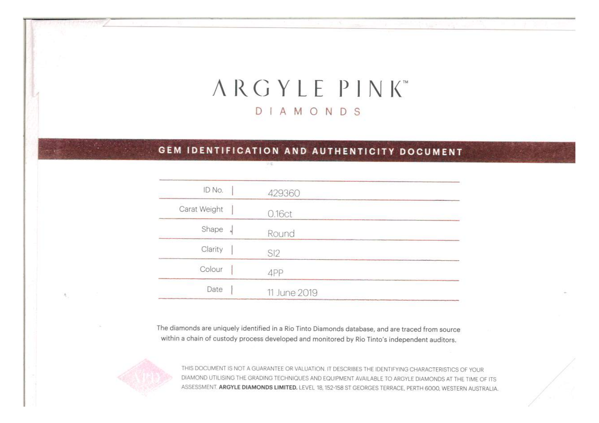# ARGYLE PINK DIAMONDS

# GEM IDENTIFICATION AND AUTHENTICITY DOCUMENT

学毕

| ID No.       | 429360         |
|--------------|----------------|
| Carat Weight | 0.16ct         |
| Shape        | Round          |
| Clarity      | S <sub>2</sub> |
| Colour       | 4PP            |
| Date         | 11 June 2019   |

The diamonds are uniquely identified in a Rio Tinto Diamonds database, and are traced from source within a chain of custody process developed and monitored by Rio Tinto's independent auditors.



THIS DOCUMENT IS NOT A GUARANTEE OR VALUATION. IT DESCRIBES THE IDENTIFYING CHARACTERISTICS OF YOUR DIAMOND UTILISING THE GRADING TECHNIQUES AND EQUIPMENT AVAILABLE TO ARGYLE DIAMONDS AT THE TIME OF ITS ASSESSMENT. ARGYLE DIAMONDS LIMITED. LEVEL 18, 152-158 ST GEORGES TERRACE, PERTH 6000, WESTERN AUSTRALIA.